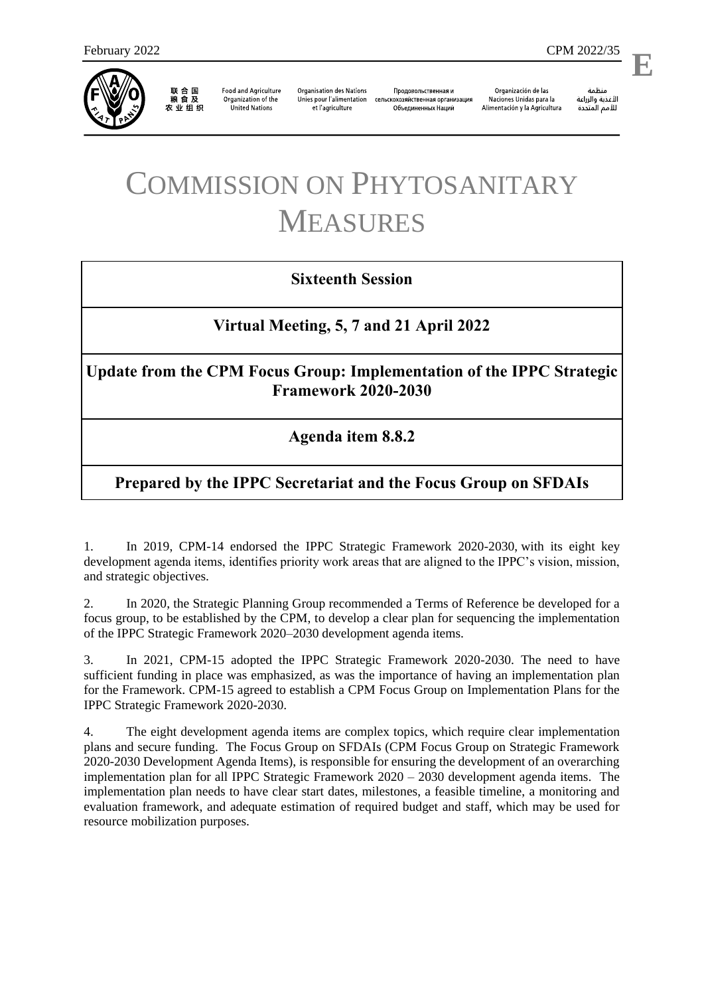

联合国<br>粮食及 农业组织

**Food and Agriculture** Organization of the **United Nations** 

**Organisation des Nations** Unies pour l'alimentation et l'agriculture

Продовольственная и сельскохозяйственная организация Объелиненных Наций

Organización de las Naciones Unidas para la Alimentación y la Agricultura

منظمة الأغذية والزراعة للأمم المتحدة

l,

**E**

# COMMISSION ON PHYTOSANITARY MEASURES

### **Sixteenth Session**

#### **Virtual Meeting, 5, 7 and 21 April 2022**

**Update from the CPM Focus Group: Implementation of the IPPC Strategic Framework 2020-2030**

#### **Agenda item 8.8.2**

## **Prepared by the IPPC Secretariat and the Focus Group on SFDAIs**

1. In 2019, CPM-14 endorsed the [IPPC Strategic Framework 2020-2030,](http://www.fao.org/3/cb3995en/cb3995en.pdf) with its eight key development agenda items, identifies priority work areas that are aligned to the IPPC's vision, mission, and strategic objectives.

2. In 2020, the Strategic Planning Group recommended a Terms of Reference be developed for a focus group, to be established by the CPM, to develop a clear plan for sequencing the implementation of the IPPC Strategic Framework 2020–2030 development agenda items.

3. In 2021, CPM-15 adopted the IPPC Strategic Framework 2020-2030. The need to have sufficient funding in place was emphasized, as was the importance of having an implementation plan for the Framework. CPM-15 agreed to establish a CPM Focus Group on Implementation Plans for the IPPC Strategic Framework 2020-2030.

4. The eight development agenda items are complex topics, which require clear implementation plans and secure funding. The Focus Group on SFDAIs (CPM Focus Group on Strategic Framework 2020-2030 Development Agenda Items), is responsible for ensuring the development of an overarching implementation plan for all IPPC Strategic Framework 2020 – 2030 development agenda items. The implementation plan needs to have clear start dates, milestones, a feasible timeline, a monitoring and evaluation framework, and adequate estimation of required budget and staff, which may be used for resource mobilization purposes.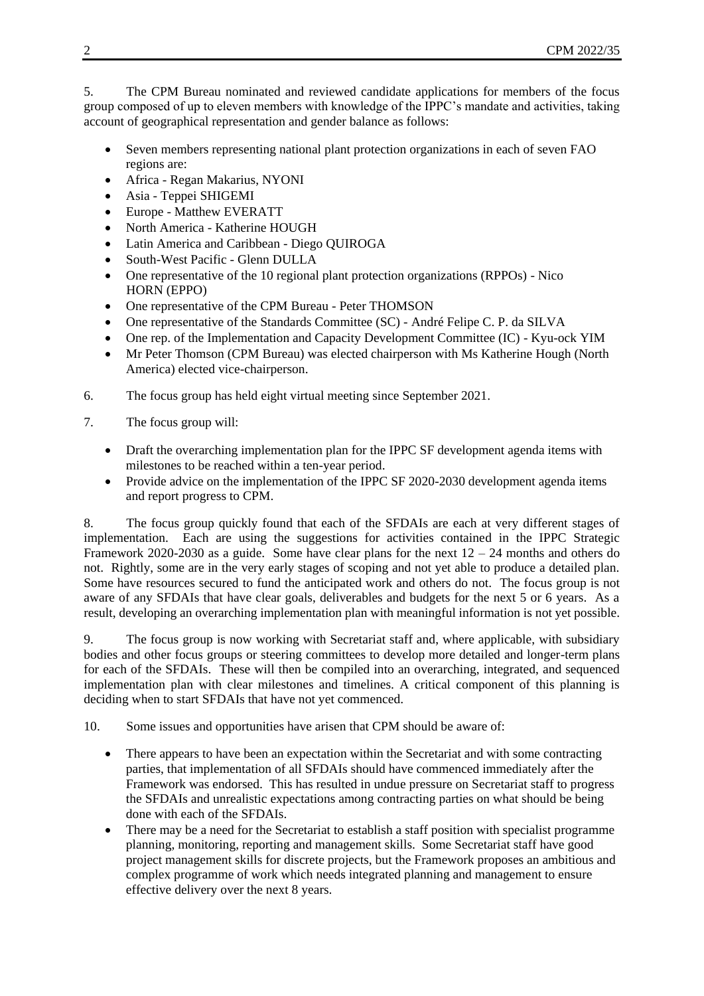5. The CPM Bureau nominated and reviewed candidate applications for members of the focus group composed of up to eleven members with knowledge of the IPPC's mandate and activities, taking account of geographical representation and gender balance as follows:

- Seven members representing national plant protection organizations in each of seven FAO regions are:
- Africa Regan Makarius, NYONI
- Asia Teppei SHIGEMI
- Europe Matthew EVERATT
- North America Katherine HOUGH
- Latin America and Caribbean Diego QUIROGA
- South-West Pacific Glenn DULLA
- One representative of the 10 regional plant protection organizations (RPPOs) Nico HORN (EPPO)
- One representative of the CPM Bureau Peter THOMSON
- One representative of the Standards Committee (SC) André Felipe C. P. da SILVA
- One rep. of the Implementation and Capacity Development Committee (IC) Kyu-ock YIM
- Mr Peter Thomson (CPM Bureau) was elected chairperson with Ms Katherine Hough (North America) elected vice-chairperson.
- 6. The focus group has held eight virtual meeting since September 2021.
- 7. The focus group will:
	- Draft the overarching implementation plan for the IPPC SF development agenda items with milestones to be reached within a ten-year period.
	- Provide advice on the implementation of the IPPC SF 2020-2030 development agenda items and report progress to CPM.

8. The focus group quickly found that each of the SFDAIs are each at very different stages of implementation. Each are using the suggestions for activities contained in the IPPC Strategic Framework 2020-2030 as a guide. Some have clear plans for the next  $12 - 24$  months and others do not. Rightly, some are in the very early stages of scoping and not yet able to produce a detailed plan. Some have resources secured to fund the anticipated work and others do not. The focus group is not aware of any SFDAIs that have clear goals, deliverables and budgets for the next 5 or 6 years. As a result, developing an overarching implementation plan with meaningful information is not yet possible.

9. The focus group is now working with Secretariat staff and, where applicable, with subsidiary bodies and other focus groups or steering committees to develop more detailed and longer-term plans for each of the SFDAIs. These will then be compiled into an overarching, integrated, and sequenced implementation plan with clear milestones and timelines. A critical component of this planning is deciding when to start SFDAIs that have not yet commenced.

10. Some issues and opportunities have arisen that CPM should be aware of:

- There appears to have been an expectation within the Secretariat and with some contracting parties, that implementation of all SFDAIs should have commenced immediately after the Framework was endorsed. This has resulted in undue pressure on Secretariat staff to progress the SFDAIs and unrealistic expectations among contracting parties on what should be being done with each of the SFDAIs.
- There may be a need for the Secretariat to establish a staff position with specialist programme planning, monitoring, reporting and management skills. Some Secretariat staff have good project management skills for discrete projects, but the Framework proposes an ambitious and complex programme of work which needs integrated planning and management to ensure effective delivery over the next 8 years.